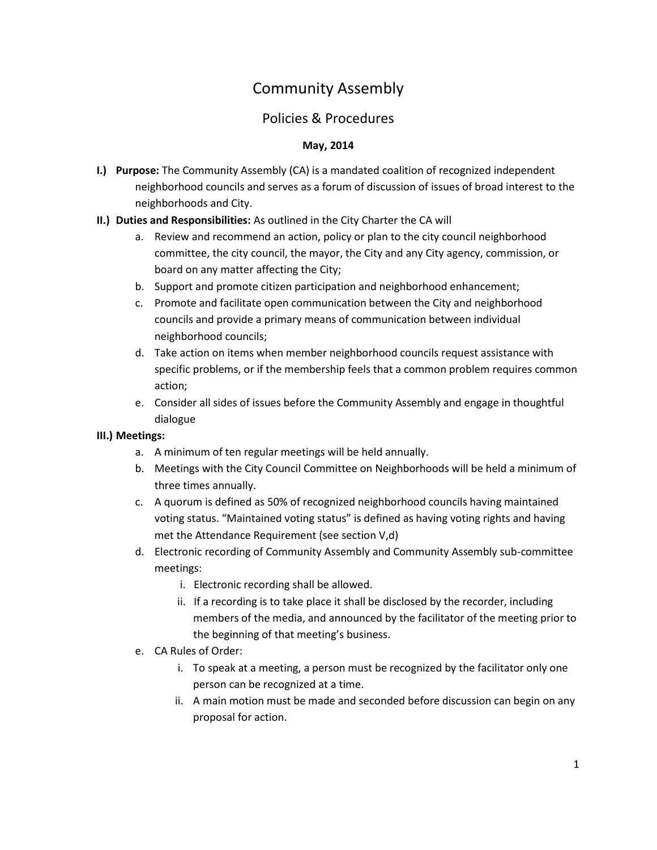# Community Assembly

# Policies & Procedures

### **May, 2014**

- **I.) Purpose:** The Community Assembly (CA) is a mandated coalition of recognized independent neighborhood councils and serves as a forum of discussion of issues of broad interest to the neighborhoods and City.
- **II.) Duties and Responsibilities:** As outlined in the City Charter the CA will
	- a. Review and recommend an action, policy or plan to the city council neighborhood committee, the city council, the mayor, the City and any City agency, commission, or board on any matter affecting the City;
	- b. Support and promote citizen participation and neighborhood enhancement;
	- c. Promote and facilitate open communication between the City and neighborhood councils and provide a primary means of communication between individual neighborhood councils;
	- d. Take action on items when member neighborhood councils request assistance with specific problems, or if the membership feels that a common problem requires common action;
	- e. Consider all sides of issues before the Community Assembly and engage in thoughtful dialogue

#### **III.) Meetings:**

- a. A minimum of ten regular meetings will be held annually.
- b. Meetings with the City Council Committee on Neighborhoods will be held a minimum of three times annually.
- c. A quorum is defined as 50% of recognized neighborhood councils having maintained voting status. "Maintained voting status" is defined as having voting rights and having met the Attendance Requirement (see section V,d)
- d. Electronic recording of Community Assembly and Community Assembly sub-committee meetings:
	- i. Electronic recording shall be allowed.
	- ii. If a recording is to take place it shall be disclosed by the recorder, including members of the media, and announced by the facilitator of the meeting prior to the beginning of that meeting's business.
- e. CA Rules of Order:
	- i. To speak at a meeting, a person must be recognized by the facilitator only one person can be recognized at a time.
	- ii. A main motion must be made and seconded before discussion can begin on any proposal for action.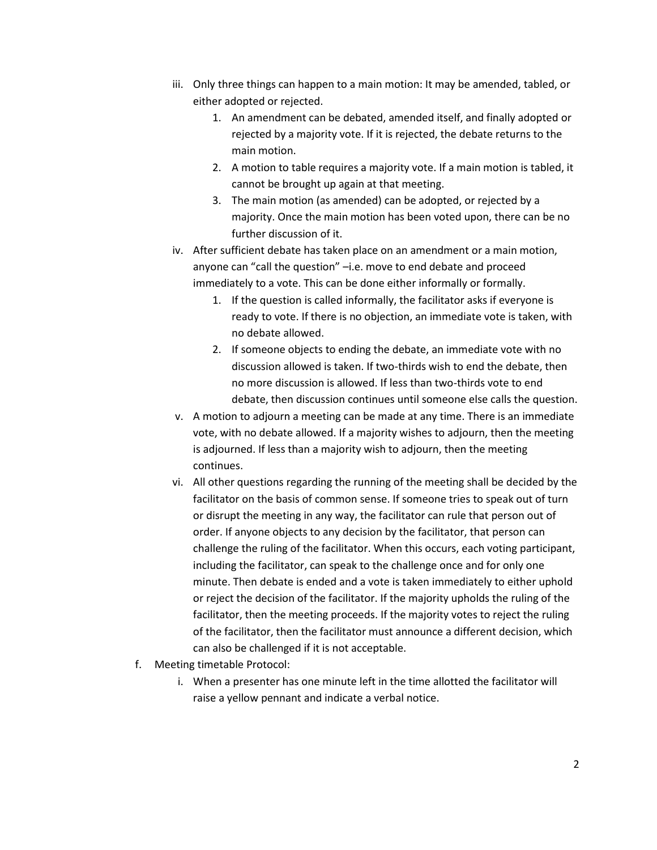- iii. Only three things can happen to a main motion: It may be amended, tabled, or either adopted or rejected.
	- 1. An amendment can be debated, amended itself, and finally adopted or rejected by a majority vote. If it is rejected, the debate returns to the main motion.
	- 2. A motion to table requires a majority vote. If a main motion is tabled, it cannot be brought up again at that meeting.
	- 3. The main motion (as amended) can be adopted, or rejected by a majority. Once the main motion has been voted upon, there can be no further discussion of it.
- iv. After sufficient debate has taken place on an amendment or a main motion, anyone can "call the question" –i.e. move to end debate and proceed immediately to a vote. This can be done either informally or formally.
	- 1. If the question is called informally, the facilitator asks if everyone is ready to vote. If there is no objection, an immediate vote is taken, with no debate allowed.
	- 2. If someone objects to ending the debate, an immediate vote with no discussion allowed is taken. If two-thirds wish to end the debate, then no more discussion is allowed. If less than two-thirds vote to end debate, then discussion continues until someone else calls the question.
- v. A motion to adjourn a meeting can be made at any time. There is an immediate vote, with no debate allowed. If a majority wishes to adjourn, then the meeting is adjourned. If less than a majority wish to adjourn, then the meeting continues.
- vi. All other questions regarding the running of the meeting shall be decided by the facilitator on the basis of common sense. If someone tries to speak out of turn or disrupt the meeting in any way, the facilitator can rule that person out of order. If anyone objects to any decision by the facilitator, that person can challenge the ruling of the facilitator. When this occurs, each voting participant, including the facilitator, can speak to the challenge once and for only one minute. Then debate is ended and a vote is taken immediately to either uphold or reject the decision of the facilitator. If the majority upholds the ruling of the facilitator, then the meeting proceeds. If the majority votes to reject the ruling of the facilitator, then the facilitator must announce a different decision, which can also be challenged if it is not acceptable.
- f. Meeting timetable Protocol:
	- i. When a presenter has one minute left in the time allotted the facilitator will raise a yellow pennant and indicate a verbal notice.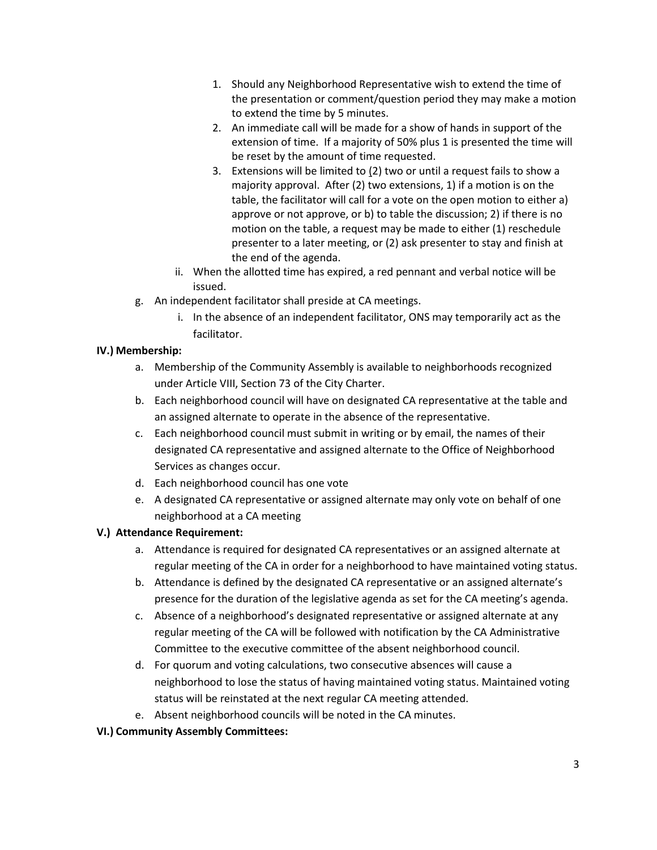- 1. Should any Neighborhood Representative wish to extend the time of the presentation or comment/question period they may make a motion to extend the time by 5 minutes.
- 2. An immediate call will be made for a show of hands in support of the extension of time. If a majority of 50% plus 1 is presented the time will be reset by the amount of time requested.
- 3. Extensions will be limited to (2) two or until a request fails to show a majority approval. After (2) two extensions, 1) if a motion is on the table, the facilitator will call for a vote on the open motion to either a) approve or not approve, or b) to table the discussion; 2) if there is no motion on the table, a request may be made to either (1) reschedule presenter to a later meeting, or (2) ask presenter to stay and finish at the end of the agenda.
- ii. When the allotted time has expired, a red pennant and verbal notice will be issued.
- g. An independent facilitator shall preside at CA meetings.
	- i. In the absence of an independent facilitator, ONS may temporarily act as the facilitator.

#### **IV.) Membership:**

- a. Membership of the Community Assembly is available to neighborhoods recognized under Article VIII, Section 73 of the City Charter.
- b. Each neighborhood council will have on designated CA representative at the table and an assigned alternate to operate in the absence of the representative.
- c. Each neighborhood council must submit in writing or by email, the names of their designated CA representative and assigned alternate to the Office of Neighborhood Services as changes occur.
- d. Each neighborhood council has one vote
- e. A designated CA representative or assigned alternate may only vote on behalf of one neighborhood at a CA meeting

#### **V.) Attendance Requirement:**

- a. Attendance is required for designated CA representatives or an assigned alternate at regular meeting of the CA in order for a neighborhood to have maintained voting status.
- b. Attendance is defined by the designated CA representative or an assigned alternate's presence for the duration of the legislative agenda as set for the CA meeting's agenda.
- c. Absence of a neighborhood's designated representative or assigned alternate at any regular meeting of the CA will be followed with notification by the CA Administrative Committee to the executive committee of the absent neighborhood council.
- d. For quorum and voting calculations, two consecutive absences will cause a neighborhood to lose the status of having maintained voting status. Maintained voting status will be reinstated at the next regular CA meeting attended.
- e. Absent neighborhood councils will be noted in the CA minutes.

# **VI.) Community Assembly Committees:**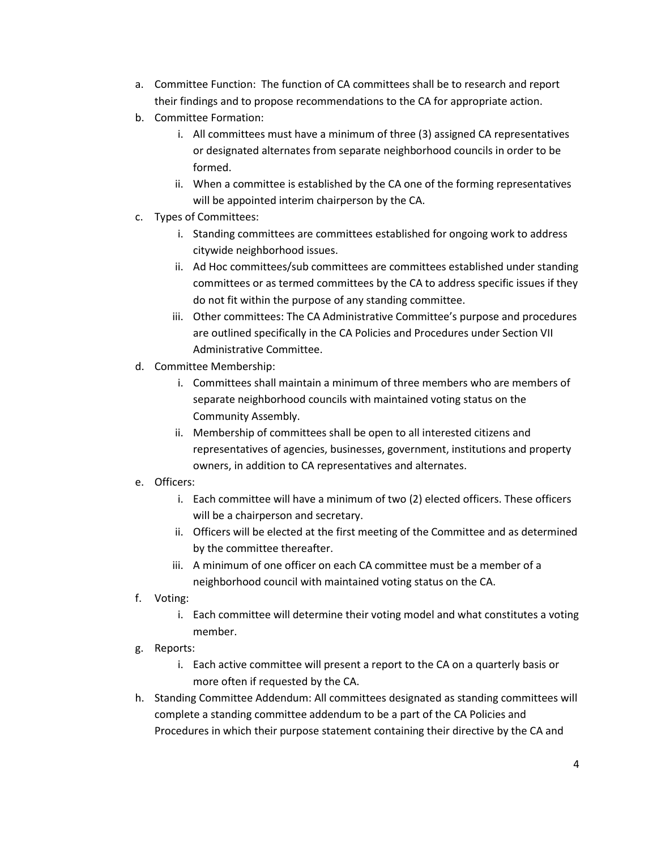- a. Committee Function: The function of CA committees shall be to research and report their findings and to propose recommendations to the CA for appropriate action.
- b. Committee Formation:
	- i. All committees must have a minimum of three (3) assigned CA representatives or designated alternates from separate neighborhood councils in order to be formed.
	- ii. When a committee is established by the CA one of the forming representatives will be appointed interim chairperson by the CA.
- c. Types of Committees:
	- i. Standing committees are committees established for ongoing work to address citywide neighborhood issues.
	- ii. Ad Hoc committees/sub committees are committees established under standing committees or as termed committees by the CA to address specific issues if they do not fit within the purpose of any standing committee.
	- iii. Other committees: The CA Administrative Committee's purpose and procedures are outlined specifically in the CA Policies and Procedures under Section VII Administrative Committee.
- d. Committee Membership:
	- i. Committees shall maintain a minimum of three members who are members of separate neighborhood councils with maintained voting status on the Community Assembly.
	- ii. Membership of committees shall be open to all interested citizens and representatives of agencies, businesses, government, institutions and property owners, in addition to CA representatives and alternates.
- e. Officers:
	- i. Each committee will have a minimum of two (2) elected officers. These officers will be a chairperson and secretary.
	- ii. Officers will be elected at the first meeting of the Committee and as determined by the committee thereafter.
	- iii. A minimum of one officer on each CA committee must be a member of a neighborhood council with maintained voting status on the CA.
- f. Voting:
	- i. Each committee will determine their voting model and what constitutes a voting member.
- g. Reports:
	- i. Each active committee will present a report to the CA on a quarterly basis or more often if requested by the CA.
- h. Standing Committee Addendum: All committees designated as standing committees will complete a standing committee addendum to be a part of the CA Policies and Procedures in which their purpose statement containing their directive by the CA and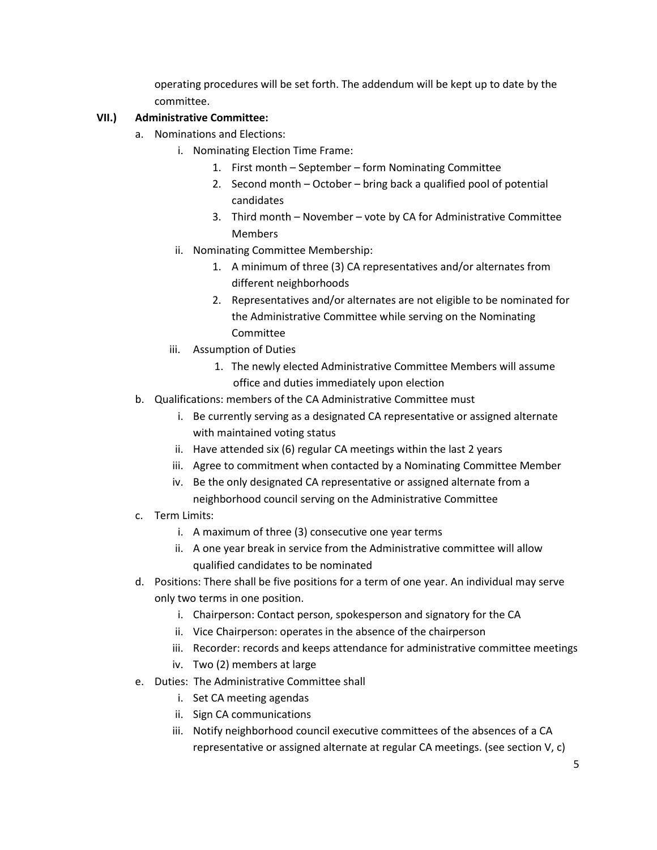operating procedures will be set forth. The addendum will be kept up to date by the committee.

# **VII.) Administrative Committee:**

- a. Nominations and Elections:
	- i. Nominating Election Time Frame:
		- 1. First month September form Nominating Committee
		- 2. Second month October bring back a qualified pool of potential candidates
		- 3. Third month November vote by CA for Administrative Committee **Members**
	- ii. Nominating Committee Membership:
		- 1. A minimum of three (3) CA representatives and/or alternates from different neighborhoods
		- 2. Representatives and/or alternates are not eligible to be nominated for the Administrative Committee while serving on the Nominating Committee
	- iii. Assumption of Duties
		- 1. The newly elected Administrative Committee Members will assume office and duties immediately upon election
- b. Qualifications: members of the CA Administrative Committee must
	- i. Be currently serving as a designated CA representative or assigned alternate with maintained voting status
	- ii. Have attended six (6) regular CA meetings within the last 2 years
	- iii. Agree to commitment when contacted by a Nominating Committee Member
	- iv. Be the only designated CA representative or assigned alternate from a neighborhood council serving on the Administrative Committee
- c. Term Limits:
	- i. A maximum of three (3) consecutive one year terms
	- ii. A one year break in service from the Administrative committee will allow qualified candidates to be nominated
- d. Positions: There shall be five positions for a term of one year. An individual may serve only two terms in one position.
	- i. Chairperson: Contact person, spokesperson and signatory for the CA
	- ii. Vice Chairperson: operates in the absence of the chairperson
	- iii. Recorder: records and keeps attendance for administrative committee meetings
	- iv. Two (2) members at large
- e. Duties: The Administrative Committee shall
	- i. Set CA meeting agendas
	- ii. Sign CA communications
	- iii. Notify neighborhood council executive committees of the absences of a CA representative or assigned alternate at regular CA meetings. (see section V, c)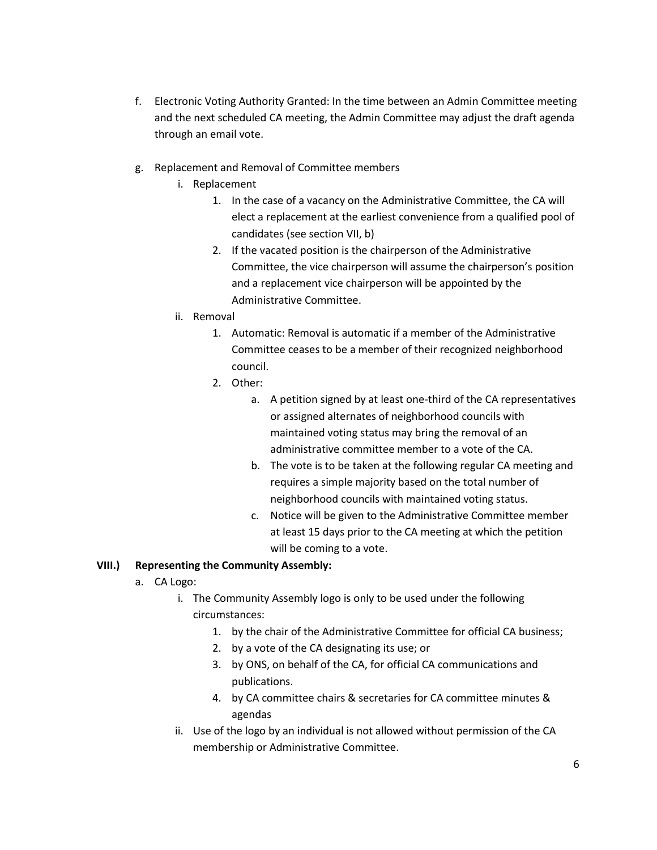- f. Electronic Voting Authority Granted: In the time between an Admin Committee meeting and the next scheduled CA meeting, the Admin Committee may adjust the draft agenda through an email vote.
- g. Replacement and Removal of Committee members
	- i. Replacement
		- 1. In the case of a vacancy on the Administrative Committee, the CA will elect a replacement at the earliest convenience from a qualified pool of candidates (see section VII, b)
		- 2. If the vacated position is the chairperson of the Administrative Committee, the vice chairperson will assume the chairperson's position and a replacement vice chairperson will be appointed by the Administrative Committee.
	- ii. Removal
		- 1. Automatic: Removal is automatic if a member of the Administrative Committee ceases to be a member of their recognized neighborhood council.
		- 2. Other:
			- a. A petition signed by at least one-third of the CA representatives or assigned alternates of neighborhood councils with maintained voting status may bring the removal of an administrative committee member to a vote of the CA.
			- b. The vote is to be taken at the following regular CA meeting and requires a simple majority based on the total number of neighborhood councils with maintained voting status.
			- c. Notice will be given to the Administrative Committee member at least 15 days prior to the CA meeting at which the petition will be coming to a vote.

# **VIII.) Representing the Community Assembly:**

- a. CA Logo:
	- i. The Community Assembly logo is only to be used under the following circumstances:
		- 1. by the chair of the Administrative Committee for official CA business;
		- 2. by a vote of the CA designating its use; or
		- 3. by ONS, on behalf of the CA, for official CA communications and publications.
		- 4. by CA committee chairs & secretaries for CA committee minutes & agendas
	- ii. Use of the logo by an individual is not allowed without permission of the CA membership or Administrative Committee.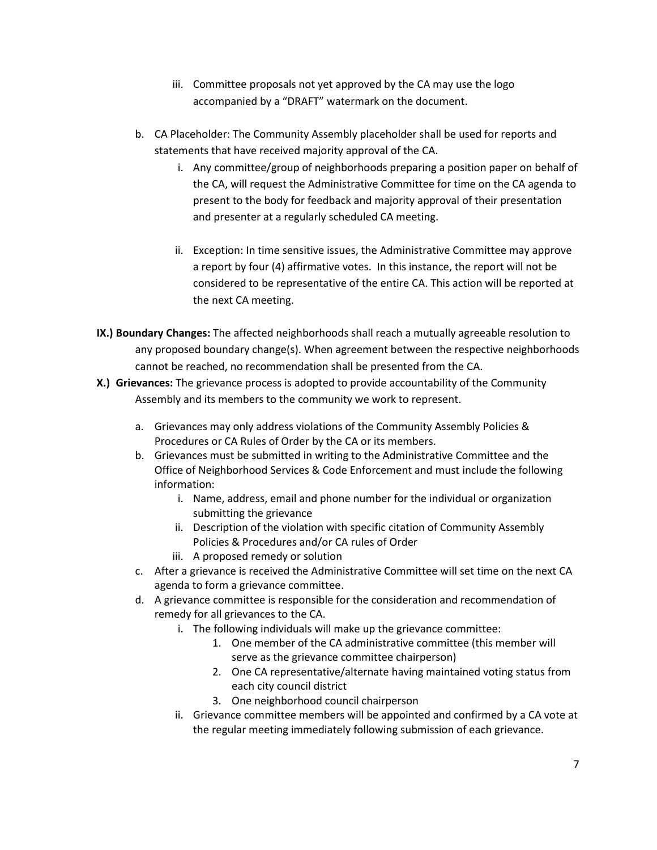- iii. Committee proposals not yet approved by the CA may use the logo accompanied by a "DRAFT" watermark on the document.
- b. CA Placeholder: The Community Assembly placeholder shall be used for reports and statements that have received majority approval of the CA.
	- i. Any committee/group of neighborhoods preparing a position paper on behalf of the CA, will request the Administrative Committee for time on the CA agenda to present to the body for feedback and majority approval of their presentation and presenter at a regularly scheduled CA meeting.
	- ii. Exception: In time sensitive issues, the Administrative Committee may approve a report by four (4) affirmative votes. In this instance, the report will not be considered to be representative of the entire CA. This action will be reported at the next CA meeting.
- **IX.) Boundary Changes:** The affected neighborhoods shall reach a mutually agreeable resolution to any proposed boundary change(s). When agreement between the respective neighborhoods cannot be reached, no recommendation shall be presented from the CA.
- **X.) Grievances:** The grievance process is adopted to provide accountability of the Community Assembly and its members to the community we work to represent.
	- a. Grievances may only address violations of the Community Assembly Policies & Procedures or CA Rules of Order by the CA or its members.
	- b. Grievances must be submitted in writing to the Administrative Committee and the Office of Neighborhood Services & Code Enforcement and must include the following information:
		- i. Name, address, email and phone number for the individual or organization submitting the grievance
		- ii. Description of the violation with specific citation of Community Assembly Policies & Procedures and/or CA rules of Order
		- iii. A proposed remedy or solution
	- c. After a grievance is received the Administrative Committee will set time on the next CA agenda to form a grievance committee.
	- d. A grievance committee is responsible for the consideration and recommendation of remedy for all grievances to the CA.
		- i. The following individuals will make up the grievance committee:
			- 1. One member of the CA administrative committee (this member will serve as the grievance committee chairperson)
			- 2. One CA representative/alternate having maintained voting status from each city council district
			- 3. One neighborhood council chairperson
		- ii. Grievance committee members will be appointed and confirmed by a CA vote at the regular meeting immediately following submission of each grievance.